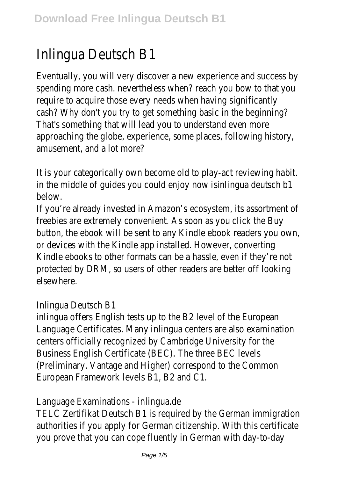## Inlingua Deutsch B1

Eventually, you will very discover a new experience and success by spending more cash. nevertheless when? reach you bow to that you require to acquire those every needs when having significantly cash? Why don't you try to get something basic in the beginning? That's something that will lead you to understand even more approaching the globe, experience, some places, following history, amusement, and a lot more?

It is your categorically own become old to play-act reviewing habit. in the middle of quides you could enjoy now insura deutsch b1 below.

If you're already invested in Amazon's ecosystem, its assortment of freebies are extremely convenient. As soon as you click the Buy button, the ebook will be sent to any Kindle ebook readers you own, or devices with the Kindle app installed. However, converting Kindle ebooks to other formats can be a hassle, even if they're not protected by DRM, so users of other readers are better off looking elsewhere.

## Inlingua Deutsch B1

inlingua offers English tests up to the B2 level of the European Language Certificates. Many inlingua centers are also examination centers officially recognized by Cambridge University for the Business English Certificate (BEC). The three BEC levels (Preliminary, Vantage and Higher) correspond to the Common European Framework levels B1, B2 and C1.

Language Examinations - inlingua.de

TELC Zertifikat Deutsch B1 is required by the German immigration authorities if you apply for German citizenship. With this certificate you prove that you can cope fluently in German with day-to-day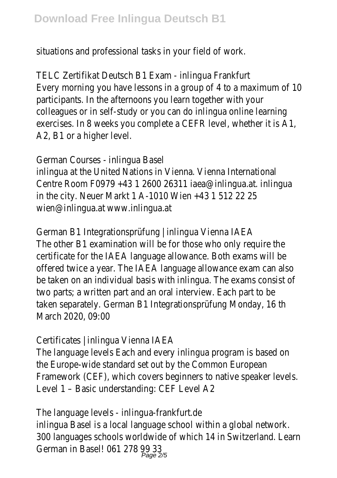situations and professional tasks in your field of work.

TELC Zertifikat Deutsch B1 Exam - inlingua Frankfurt Every morning you have lessons in a group of 4 to a maximum of 10 participants. In the afternoons you learn together with your colleagues or in self-study or you can do inlingua online learning exercises. In 8 weeks you complete a CEFR level, whether it is A1, A2, B1 or a higher level.

German Courses - inlingua Basel inlingua at the United Nations in Vienna. Vienna International Centre Room F0979 +43 1 2600 26311 iaea@inlingua.at. inlingua in the city. Neuer Markt 1 A-1010 Wien +43 1 512 22 25 wien@inlingua.at www.inlingua.at

German B1 Integrationsprüfung | inlingua Vienna IAEA The other B1 examination will be for those who only require the certificate for the IAEA language allowance. Both exams will be offered twice a year. The IAEA language allowance exam can also be taken on an individual basis with inlingua. The exams consist of two parts; a written part and an oral interview. Each part to be taken separately. German B1 Integrationsprüfung Monday, 16 th March 2020, 09:00

Certificates | inlingua Vienna IAEA

The language levels Each and every inlingua program is based on the Europe-wide standard set out by the Common European Framework (CEF), which covers beginners to native speaker levels. Level 1 – Basic understanding: CEF Level A2

The language levels - inlingua-frankfurt.de inlingua Basel is a local language school within a global network. 300 languages schools worldwide of which 14 in Switzerland. Learn German in Basel! 061 278 99 33<br>Page 2/5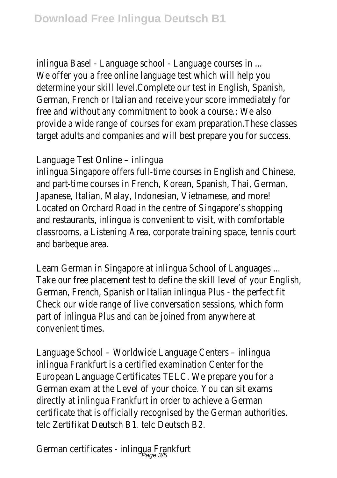inlingua Basel - Language school - Language courses in ... We offer you a free online language test which will help you determine your skill level.Complete our test in English, Spanish, German, French or Italian and receive your score immediately for free and without any commitment to book a course.; We also provide a wide range of courses for exam preparation.These classes target adults and companies and will best prepare you for success.

Language Test Online – inlingua

inlingua Singapore offers full-time courses in English and Chinese, and part-time courses in French, Korean, Spanish, Thai, German, Japanese, Italian, Malay, Indonesian, Vietnamese, and more! Located on Orchard Road in the centre of Singapore's shopping and restaurants, inlingua is convenient to visit, with comfortable classrooms, a Listening Area, corporate training space, tennis court and barbeque area.

Learn German in Singapore at inlingua School of Languages ... Take our free placement test to define the skill level of your English, German, French, Spanish or Italian inlingua Plus - the perfect fit Check our wide range of live conversation sessions, which form part of inlingua Plus and can be joined from anywhere at convenient times.

Language School – Worldwide Language Centers – inlingua inlingua Frankfurt is a certified examination Center for the European Language Certificates TELC. We prepare you for a German exam at the Level of your choice. You can sit exams directly at inlingua Frankfurt in order to achieve a German certificate that is officially recognised by the German authorities. telc Zertifikat Deutsch B1. telc Deutsch B2.

German certificates - inlingua Frankfurt Page 3/5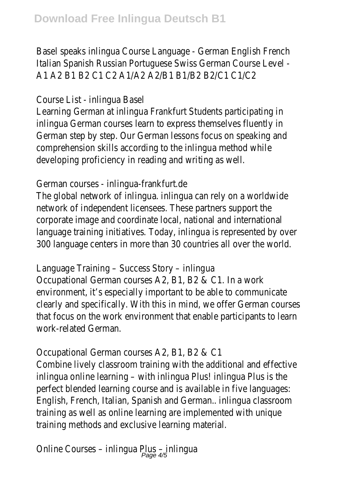Basel speaks inlingua Course Language - German English French Italian Spanish Russian Portuguese Swiss German Course Level - A1 A2 B1 B2 C1 C2 A1/A2 A2/B1 B1/B2 B2/C1 C1/C2

Course List - inlingua Basel

Learning German at inlingua Frankfurt Students participating in inlingua German courses learn to express themselves fluently in German step by step. Our German lessons focus on speaking and comprehension skills according to the inlingua method while developing proficiency in reading and writing as well.

## German courses - inlingua-frankfurt.de

The global network of inlingua. inlingua can rely on a worldwide network of independent licensees. These partners support the corporate image and coordinate local, national and international language training initiatives. Today, inlingua is represented by over 300 language centers in more than 30 countries all over the world.

Language Training – Success Story – inlingua Occupational German courses A2, B1, B2 & C1. In a work environment, it's especially important to be able to communicate clearly and specifically. With this in mind, we offer German courses that focus on the work environment that enable participants to learn work-related German.

Occupational German courses A2, B1, B2 & C1 Combine lively classroom training with the additional and effective inlingua online learning – with inlingua Plus! inlingua Plus is the perfect blended learning course and is available in five languages: English, French, Italian, Spanish and German.. inlingua classroom training as well as online learning are implemented with unique training methods and exclusive learning material.

Online Courses - inlingua Plus - inlingua<br>Page 4/5